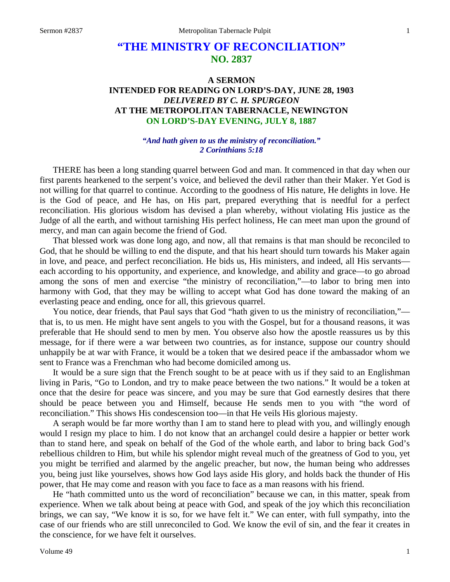# **"THE MINISTRY OF RECONCILIATION" NO. 2837**

## **A SERMON INTENDED FOR READING ON LORD'S-DAY, JUNE 28, 1903** *DELIVERED BY C. H. SPURGEON* **AT THE METROPOLITAN TABERNACLE, NEWINGTON ON LORD'S-DAY EVENING, JULY 8, 1887**

#### *"And hath given to us the ministry of reconciliation." 2 Corinthians 5:18*

THERE has been a long standing quarrel between God and man. It commenced in that day when our first parents hearkened to the serpent's voice, and believed the devil rather than their Maker. Yet God is not willing for that quarrel to continue. According to the goodness of His nature, He delights in love. He is the God of peace, and He has, on His part, prepared everything that is needful for a perfect reconciliation. His glorious wisdom has devised a plan whereby, without violating His justice as the Judge of all the earth, and without tarnishing His perfect holiness, He can meet man upon the ground of mercy, and man can again become the friend of God.

That blessed work was done long ago, and now, all that remains is that man should be reconciled to God, that he should be willing to end the dispute, and that his heart should turn towards his Maker again in love, and peace, and perfect reconciliation. He bids us, His ministers, and indeed, all His servants each according to his opportunity, and experience, and knowledge, and ability and grace—to go abroad among the sons of men and exercise "the ministry of reconciliation,"—to labor to bring men into harmony with God, that they may be willing to accept what God has done toward the making of an everlasting peace and ending, once for all, this grievous quarrel.

You notice, dear friends, that Paul says that God "hath given to us the ministry of reconciliation," that is, to us men. He might have sent angels to you with the Gospel, but for a thousand reasons, it was preferable that He should send to men by men. You observe also how the apostle reassures us by this message, for if there were a war between two countries, as for instance, suppose our country should unhappily be at war with France, it would be a token that we desired peace if the ambassador whom we sent to France was a Frenchman who had become domiciled among us.

It would be a sure sign that the French sought to be at peace with us if they said to an Englishman living in Paris, "Go to London, and try to make peace between the two nations." It would be a token at once that the desire for peace was sincere, and you may be sure that God earnestly desires that there should be peace between you and Himself, because He sends men to you with "the word of reconciliation." This shows His condescension too—in that He veils His glorious majesty.

A seraph would be far more worthy than I am to stand here to plead with you, and willingly enough would I resign my place to him. I do not know that an archangel could desire a happier or better work than to stand here, and speak on behalf of the God of the whole earth, and labor to bring back God's rebellious children to Him, but while his splendor might reveal much of the greatness of God to you, yet you might be terrified and alarmed by the angelic preacher, but now, the human being who addresses you, being just like yourselves, shows how God lays aside His glory, and holds back the thunder of His power, that He may come and reason with you face to face as a man reasons with his friend.

He "hath committed unto us the word of reconciliation" because we can, in this matter, speak from experience. When we talk about being at peace with God, and speak of the joy which this reconciliation brings, we can say, "We know it is so, for we have felt it." We can enter, with full sympathy, into the case of our friends who are still unreconciled to God. We know the evil of sin, and the fear it creates in the conscience, for we have felt it ourselves.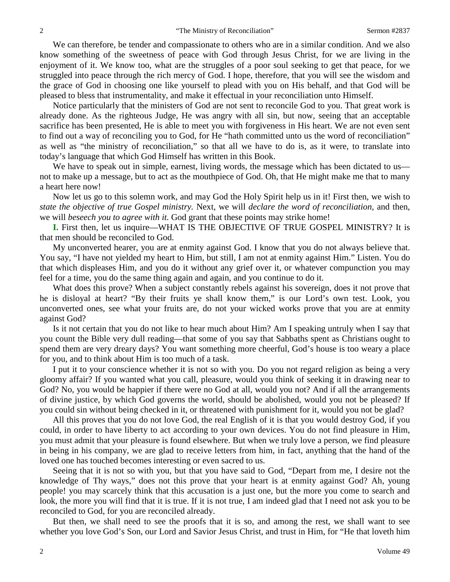We can therefore, be tender and compassionate to others who are in a similar condition. And we also know something of the sweetness of peace with God through Jesus Christ, for we are living in the enjoyment of it. We know too, what are the struggles of a poor soul seeking to get that peace, for we struggled into peace through the rich mercy of God. I hope, therefore, that you will see the wisdom and the grace of God in choosing one like yourself to plead with you on His behalf, and that God will be pleased to bless that instrumentality, and make it effectual in your reconciliation unto Himself.

Notice particularly that the ministers of God are not sent to reconcile God to you. That great work is already done. As the righteous Judge, He was angry with all sin, but now, seeing that an acceptable sacrifice has been presented, He is able to meet you with forgiveness in His heart. We are not even sent to find out a way of reconciling you to God, for He "hath committed unto us the word of reconciliation" as well as "the ministry of reconciliation," so that all we have to do is, as it were, to translate into today's language that which God Himself has written in this Book.

We have to speak out in simple, earnest, living words, the message which has been dictated to us not to make up a message, but to act as the mouthpiece of God. Oh, that He might make me that to many a heart here now!

Now let us go to this solemn work, and may God the Holy Spirit help us in it! First then, we wish to *state the objective of true Gospel ministry.* Next, we will *declare the word of reconciliation,* and then, we will *beseech you to agree with it*. God grant that these points may strike home!

**I.** First then, let us inquire—WHAT IS THE OBJECTIVE OF TRUE GOSPEL MINISTRY? It is that men should be reconciled to God.

My unconverted hearer, you are at enmity against God. I know that you do not always believe that. You say, "I have not yielded my heart to Him, but still, I am not at enmity against Him." Listen. You do that which displeases Him, and you do it without any grief over it, or whatever compunction you may feel for a time, you do the same thing again and again, and you continue to do it.

What does this prove? When a subject constantly rebels against his sovereign, does it not prove that he is disloyal at heart? "By their fruits ye shall know them," is our Lord's own test. Look, you unconverted ones, see what your fruits are, do not your wicked works prove that you are at enmity against God?

Is it not certain that you do not like to hear much about Him? Am I speaking untruly when I say that you count the Bible very dull reading—that some of you say that Sabbaths spent as Christians ought to spend them are very dreary days? You want something more cheerful, God's house is too weary a place for you, and to think about Him is too much of a task.

I put it to your conscience whether it is not so with you. Do you not regard religion as being a very gloomy affair? If you wanted what you call, pleasure, would you think of seeking it in drawing near to God? No, you would be happier if there were no God at all, would you not? And if all the arrangements of divine justice, by which God governs the world, should be abolished, would you not be pleased? If you could sin without being checked in it, or threatened with punishment for it, would you not be glad?

All this proves that you do not love God, the real English of it is that you would destroy God, if you could, in order to have liberty to act according to your own devices. You do not find pleasure in Him, you must admit that your pleasure is found elsewhere. But when we truly love a person, we find pleasure in being in his company, we are glad to receive letters from him, in fact, anything that the hand of the loved one has touched becomes interesting or even sacred to us.

Seeing that it is not so with you, but that you have said to God, "Depart from me, I desire not the knowledge of Thy ways," does not this prove that your heart is at enmity against God? Ah, young people! you may scarcely think that this accusation is a just one, but the more you come to search and look, the more you will find that it is true. If it is not true, I am indeed glad that I need not ask you to be reconciled to God, for you are reconciled already.

But then, we shall need to see the proofs that it is so, and among the rest, we shall want to see whether you love God's Son, our Lord and Savior Jesus Christ, and trust in Him, for "He that loveth him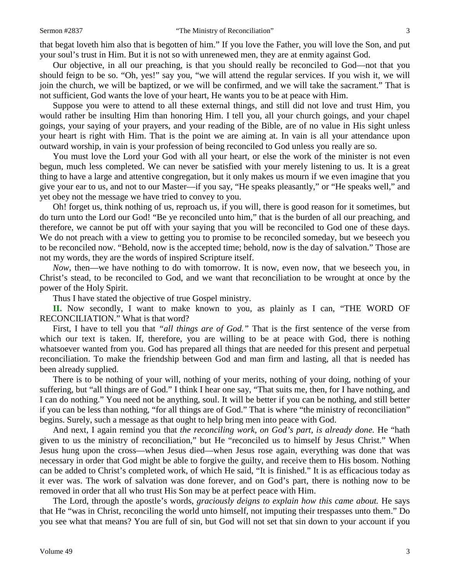that begat loveth him also that is begotten of him." If you love the Father, you will love the Son, and put your soul's trust in Him. But it is not so with unrenewed men, they are at enmity against God.

Our objective, in all our preaching, is that you should really be reconciled to God—not that you should feign to be so. "Oh, yes!" say you, "we will attend the regular services. If you wish it, we will join the church, we will be baptized, or we will be confirmed, and we will take the sacrament." That is not sufficient, God wants the love of your heart, He wants you to be at peace with Him.

Suppose you were to attend to all these external things, and still did not love and trust Him, you would rather be insulting Him than honoring Him. I tell you, all your church goings, and your chapel goings, your saying of your prayers, and your reading of the Bible, are of no value in His sight unless your heart is right with Him. That is the point we are aiming at. In vain is all your attendance upon outward worship, in vain is your profession of being reconciled to God unless you really are so.

You must love the Lord your God with all your heart, or else the work of the minister is not even begun, much less completed. We can never be satisfied with your merely listening to us. It is a great thing to have a large and attentive congregation, but it only makes us mourn if we even imagine that you give your ear to us, and not to our Master—if you say, "He speaks pleasantly," or "He speaks well," and yet obey not the message we have tried to convey to you.

Oh! forget us, think nothing of us, reproach us, if you will, there is good reason for it sometimes, but do turn unto the Lord our God! "Be ye reconciled unto him," that is the burden of all our preaching, and therefore, we cannot be put off with your saying that you will be reconciled to God one of these days. We do not preach with a view to getting you to promise to be reconciled someday, but we beseech you to be reconciled now. "Behold, now is the accepted time; behold, now is the day of salvation." Those are not my words, they are the words of inspired Scripture itself.

*Now,* then—we have nothing to do with tomorrow. It is now, even now, that we beseech you, in Christ's stead, to be reconciled to God, and we want that reconciliation to be wrought at once by the power of the Holy Spirit.

Thus I have stated the objective of true Gospel ministry.

**II.** Now secondly, I want to make known to you, as plainly as I can, "THE WORD OF RECONCILIATION." What is that word?

First, I have to tell you that *"all things are of God."* That is the first sentence of the verse from which our text is taken. If, therefore, you are willing to be at peace with God, there is nothing whatsoever wanted from you. God has prepared all things that are needed for this present and perpetual reconciliation. To make the friendship between God and man firm and lasting, all that is needed has been already supplied.

There is to be nothing of your will, nothing of your merits, nothing of your doing, nothing of your suffering, but "all things are of God." I think I hear one say, "That suits me, then, for I have nothing, and I can do nothing." You need not be anything, soul. It will be better if you can be nothing, and still better if you can be less than nothing, "for all things are of God." That is where "the ministry of reconciliation" begins. Surely, such a message as that ought to help bring men into peace with God.

And next, I again remind you that *the reconciling work, on God's part, is already done.* He "hath given to us the ministry of reconciliation," but He "reconciled us to himself by Jesus Christ." When Jesus hung upon the cross—when Jesus died—when Jesus rose again, everything was done that was necessary in order that God might be able to forgive the guilty, and receive them to His bosom. Nothing can be added to Christ's completed work, of which He said, "It is finished." It is as efficacious today as it ever was. The work of salvation was done forever, and on God's part, there is nothing now to be removed in order that all who trust His Son may be at perfect peace with Him.

The Lord, through the apostle's words, *graciously deigns to explain how this came about.* He says that He "was in Christ, reconciling the world unto himself, not imputing their trespasses unto them." Do you see what that means? You are full of sin, but God will not set that sin down to your account if you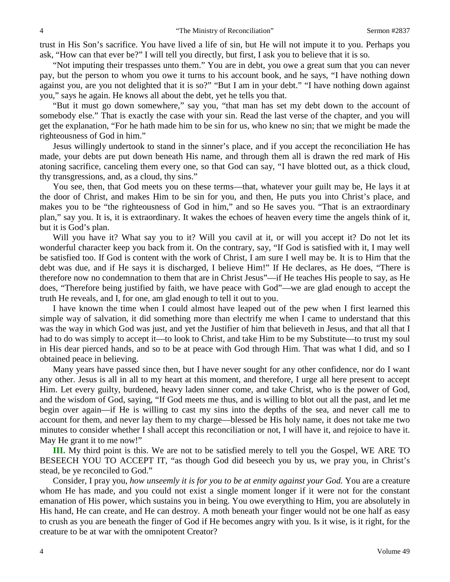trust in His Son's sacrifice. You have lived a life of sin, but He will not impute it to you. Perhaps you ask, "How can that ever be?" I will tell you directly, but first, I ask you to believe that it is so.

"Not imputing their trespasses unto them." You are in debt, you owe a great sum that you can never pay, but the person to whom you owe it turns to his account book, and he says, "I have nothing down against you, are you not delighted that it is so?" "But I am in your debt." "I have nothing down against you," says he again. He knows all about the debt, yet he tells you that.

"But it must go down somewhere," say you, "that man has set my debt down to the account of somebody else." That is exactly the case with your sin. Read the last verse of the chapter, and you will get the explanation, "For he hath made him to be sin for us, who knew no sin; that we might be made the righteousness of God in him."

Jesus willingly undertook to stand in the sinner's place, and if you accept the reconciliation He has made, your debts are put down beneath His name, and through them all is drawn the red mark of His atoning sacrifice, canceling them every one, so that God can say, "I have blotted out, as a thick cloud, thy transgressions, and, as a cloud, thy sins."

You see, then, that God meets you on these terms—that, whatever your guilt may be, He lays it at the door of Christ, and makes Him to be sin for you, and then, He puts you into Christ's place, and makes you to be "the righteousness of God in him," and so He saves you. "That is an extraordinary plan," say you. It is, it is extraordinary. It wakes the echoes of heaven every time the angels think of it, but it is God's plan.

Will you have it? What say you to it? Will you cavil at it, or will you accept it? Do not let its wonderful character keep you back from it. On the contrary, say, "If God is satisfied with it, I may well be satisfied too. If God is content with the work of Christ, I am sure I well may be. It is to Him that the debt was due, and if He says it is discharged, I believe Him!" If He declares, as He does, "There is therefore now no condemnation to them that are in Christ Jesus"—if He teaches His people to say, as He does, "Therefore being justified by faith, we have peace with God"—we are glad enough to accept the truth He reveals, and I, for one, am glad enough to tell it out to you.

I have known the time when I could almost have leaped out of the pew when I first learned this simple way of salvation, it did something more than electrify me when I came to understand that this was the way in which God was just, and yet the Justifier of him that believeth in Jesus, and that all that I had to do was simply to accept it—to look to Christ, and take Him to be my Substitute—to trust my soul in His dear pierced hands, and so to be at peace with God through Him. That was what I did, and so I obtained peace in believing.

Many years have passed since then, but I have never sought for any other confidence, nor do I want any other. Jesus is all in all to my heart at this moment, and therefore, I urge all here present to accept Him. Let every guilty, burdened, heavy laden sinner come, and take Christ, who is the power of God, and the wisdom of God, saying, "If God meets me thus, and is willing to blot out all the past, and let me begin over again—if He is willing to cast my sins into the depths of the sea, and never call me to account for them, and never lay them to my charge—blessed be His holy name, it does not take me two minutes to consider whether I shall accept this reconciliation or not, I will have it, and rejoice to have it. May He grant it to me now!"

**III.** My third point is this. We are not to be satisfied merely to tell you the Gospel, WE ARE TO BESEECH YOU TO ACCEPT IT, "as though God did beseech you by us, we pray you, in Christ's stead, be ye reconciled to God."

Consider, I pray you, *how unseemly it is for you to be at enmity against your God.* You are a creature whom He has made, and you could not exist a single moment longer if it were not for the constant emanation of His power, which sustains you in being. You owe everything to Him, you are absolutely in His hand, He can create, and He can destroy. A moth beneath your finger would not be one half as easy to crush as you are beneath the finger of God if He becomes angry with you. Is it wise, is it right, for the creature to be at war with the omnipotent Creator?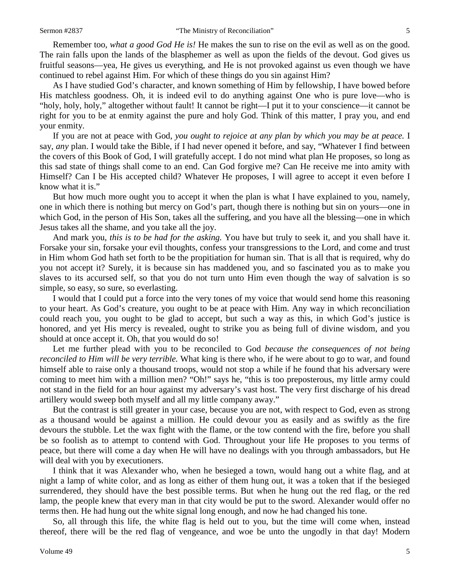Remember too, *what a good God He is!* He makes the sun to rise on the evil as well as on the good. The rain falls upon the lands of the blasphemer as well as upon the fields of the devout. God gives us fruitful seasons—yea, He gives us everything, and He is not provoked against us even though we have continued to rebel against Him. For which of these things do you sin against Him?

As I have studied God's character, and known something of Him by fellowship, I have bowed before His matchless goodness. Oh, it is indeed evil to do anything against One who is pure love—who is "holy, holy, holy," altogether without fault! It cannot be right—I put it to your conscience—it cannot be right for you to be at enmity against the pure and holy God. Think of this matter, I pray you, and end your enmity.

If you are not at peace with God, *you ought to rejoice at any plan by which you may be at peace.* I say, *any* plan. I would take the Bible, if I had never opened it before, and say, "Whatever I find between the covers of this Book of God, I will gratefully accept. I do not mind what plan He proposes, so long as this sad state of things shall come to an end. Can God forgive me? Can He receive me into amity with Himself? Can I be His accepted child? Whatever He proposes, I will agree to accept it even before I know what it is."

But how much more ought you to accept it when the plan is what I have explained to you, namely, one in which there is nothing but mercy on God's part, though there is nothing but sin on yours—one in which God, in the person of His Son, takes all the suffering, and you have all the blessing—one in which Jesus takes all the shame, and you take all the joy.

And mark you, *this is to be had for the asking.* You have but truly to seek it, and you shall have it. Forsake your sin, forsake your evil thoughts, confess your transgressions to the Lord, and come and trust in Him whom God hath set forth to be the propitiation for human sin. That is all that is required, why do you not accept it? Surely, it is because sin has maddened you, and so fascinated you as to make you slaves to its accursed self, so that you do not turn unto Him even though the way of salvation is so simple, so easy, so sure, so everlasting.

I would that I could put a force into the very tones of my voice that would send home this reasoning to your heart. As God's creature, you ought to be at peace with Him. Any way in which reconciliation could reach you, you ought to be glad to accept, but such a way as this, in which God's justice is honored, and yet His mercy is revealed, ought to strike you as being full of divine wisdom, and you should at once accept it. Oh, that you would do so!

Let me further plead with you to be reconciled to God *because the consequences of not being reconciled to Him will be very terrible.* What king is there who, if he were about to go to war, and found himself able to raise only a thousand troops, would not stop a while if he found that his adversary were coming to meet him with a million men? "Oh!" says he, "this is too preposterous, my little army could not stand in the field for an hour against my adversary's vast host. The very first discharge of his dread artillery would sweep both myself and all my little company away."

But the contrast is still greater in your case, because you are not, with respect to God, even as strong as a thousand would be against a million. He could devour you as easily and as swiftly as the fire devours the stubble. Let the wax fight with the flame, or the tow contend with the fire, before you shall be so foolish as to attempt to contend with God. Throughout your life He proposes to you terms of peace, but there will come a day when He will have no dealings with you through ambassadors, but He will deal with you by executioners.

I think that it was Alexander who, when he besieged a town, would hang out a white flag, and at night a lamp of white color, and as long as either of them hung out, it was a token that if the besieged surrendered, they should have the best possible terms. But when he hung out the red flag, or the red lamp, the people knew that every man in that city would be put to the sword. Alexander would offer no terms then. He had hung out the white signal long enough, and now he had changed his tone.

So, all through this life, the white flag is held out to you, but the time will come when, instead thereof, there will be the red flag of vengeance, and woe be unto the ungodly in that day! Modern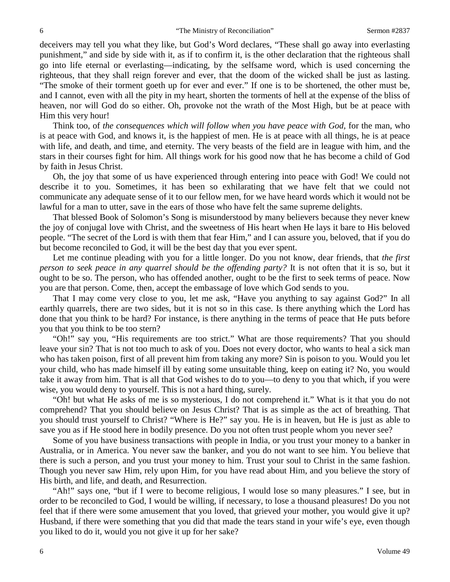deceivers may tell you what they like, but God's Word declares, "These shall go away into everlasting punishment," and side by side with it, as if to confirm it, is the other declaration that the righteous shall go into life eternal or everlasting—indicating, by the selfsame word, which is used concerning the righteous, that they shall reign forever and ever, that the doom of the wicked shall be just as lasting. "The smoke of their torment goeth up for ever and ever." If one is to be shortened, the other must be, and I cannot, even with all the pity in my heart, shorten the torments of hell at the expense of the bliss of heaven, nor will God do so either. Oh, provoke not the wrath of the Most High, but be at peace with Him this very hour!

Think too, of *the consequences which will follow when you have peace with God,* for the man, who is at peace with God, and knows it, is the happiest of men. He is at peace with all things, he is at peace with life, and death, and time, and eternity. The very beasts of the field are in league with him, and the stars in their courses fight for him. All things work for his good now that he has become a child of God by faith in Jesus Christ.

Oh, the joy that some of us have experienced through entering into peace with God! We could not describe it to you. Sometimes, it has been so exhilarating that we have felt that we could not communicate any adequate sense of it to our fellow men, for we have heard words which it would not be lawful for a man to utter, save in the ears of those who have felt the same supreme delights.

That blessed Book of Solomon's Song is misunderstood by many believers because they never knew the joy of conjugal love with Christ, and the sweetness of His heart when He lays it bare to His beloved people. "The secret of the Lord is with them that fear Him," and I can assure you, beloved, that if you do but become reconciled to God, it will be the best day that you ever spent.

Let me continue pleading with you for a little longer. Do you not know, dear friends, that *the first person to seek peace in any quarrel should be the offending party?* It is not often that it is so, but it ought to be so. The person, who has offended another, ought to be the first to seek terms of peace. Now you are that person. Come, then, accept the embassage of love which God sends to you.

That I may come very close to you, let me ask, "Have you anything to say against God?" In all earthly quarrels, there are two sides, but it is not so in this case. Is there anything which the Lord has done that you think to be hard? For instance, is there anything in the terms of peace that He puts before you that you think to be too stern?

"Oh!" say you, "His requirements are too strict." What are those requirements? That you should leave your sin? That is not too much to ask of you. Does not every doctor, who wants to heal a sick man who has taken poison, first of all prevent him from taking any more? Sin is poison to you. Would you let your child, who has made himself ill by eating some unsuitable thing, keep on eating it? No, you would take it away from him. That is all that God wishes to do to you—to deny to you that which, if you were wise, you would deny to yourself. This is not a hard thing, surely.

"Oh! but what He asks of me is so mysterious, I do not comprehend it." What is it that you do not comprehend? That you should believe on Jesus Christ? That is as simple as the act of breathing. That you should trust yourself to Christ? "Where is He?" say you. He is in heaven, but He is just as able to save you as if He stood here in bodily presence. Do you not often trust people whom you never see?

Some of you have business transactions with people in India, or you trust your money to a banker in Australia, or in America. You never saw the banker, and you do not want to see him. You believe that there is such a person, and you trust your money to him. Trust your soul to Christ in the same fashion. Though you never saw Him, rely upon Him, for you have read about Him, and you believe the story of His birth, and life, and death, and Resurrection.

"Ah!" says one, "but if I were to become religious, I would lose so many pleasures." I see, but in order to be reconciled to God, I would be willing, if necessary, to lose a thousand pleasures! Do you not feel that if there were some amusement that you loved, that grieved your mother, you would give it up? Husband, if there were something that you did that made the tears stand in your wife's eye, even though you liked to do it, would you not give it up for her sake?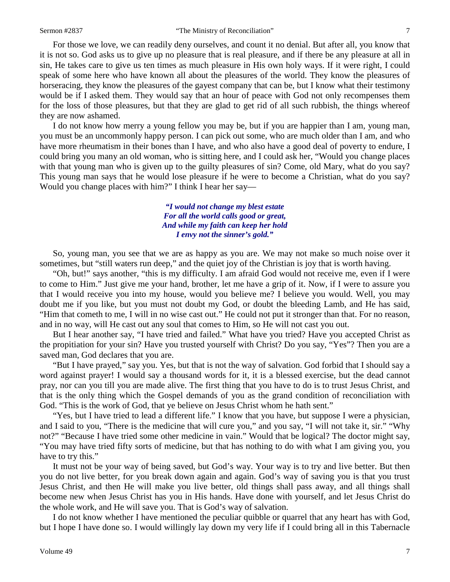For those we love, we can readily deny ourselves, and count it no denial. But after all, you know that it is not so. God asks us to give up no pleasure that is real pleasure, and if there be any pleasure at all in sin, He takes care to give us ten times as much pleasure in His own holy ways. If it were right, I could speak of some here who have known all about the pleasures of the world. They know the pleasures of horseracing, they know the pleasures of the gayest company that can be, but I know what their testimony would be if I asked them. They would say that an hour of peace with God not only recompenses them for the loss of those pleasures, but that they are glad to get rid of all such rubbish, the things whereof they are now ashamed.

I do not know how merry a young fellow you may be, but if you are happier than I am, young man, you must be an uncommonly happy person. I can pick out some, who are much older than I am, and who have more rheumatism in their bones than I have, and who also have a good deal of poverty to endure, I could bring you many an old woman, who is sitting here, and I could ask her, "Would you change places with that young man who is given up to the guilty pleasures of sin? Come, old Mary, what do you say? This young man says that he would lose pleasure if he were to become a Christian, what do you say? Would you change places with him?" I think I hear her say—

> *"I would not change my blest estate For all the world calls good or great, And while my faith can keep her hold I envy not the sinner's gold."*

So, young man, you see that we are as happy as you are. We may not make so much noise over it sometimes, but "still waters run deep," and the quiet joy of the Christian is joy that is worth having.

"Oh, but!" says another, "this is my difficulty. I am afraid God would not receive me, even if I were to come to Him." Just give me your hand, brother, let me have a grip of it. Now, if I were to assure you that I would receive you into my house, would you believe me? I believe you would. Well, you may doubt me if you like, but you must not doubt my God, or doubt the bleeding Lamb, and He has said, "Him that cometh to me, I will in no wise cast out." He could not put it stronger than that. For no reason, and in no way, will He cast out any soul that comes to Him, so He will not cast you out.

But I hear another say, "I have tried and failed." What have you tried? Have you accepted Christ as the propitiation for your sin? Have you trusted yourself with Christ? Do you say, "Yes"? Then you are a saved man, God declares that you are.

"But I have prayed," say you. Yes, but that is not the way of salvation. God forbid that I should say a word against prayer! I would say a thousand words for it, it is a blessed exercise, but the dead cannot pray, nor can you till you are made alive. The first thing that you have to do is to trust Jesus Christ, and that is the only thing which the Gospel demands of you as the grand condition of reconciliation with God. "This is the work of God, that ye believe on Jesus Christ whom he hath sent."

"Yes, but I have tried to lead a different life." I know that you have, but suppose I were a physician, and I said to you, "There is the medicine that will cure you," and you say, "I will not take it, sir." "Why not?" "Because I have tried some other medicine in vain." Would that be logical? The doctor might say, "You may have tried fifty sorts of medicine, but that has nothing to do with what I am giving you, you have to try this."

It must not be your way of being saved, but God's way. Your way is to try and live better. But then you do not live better, for you break down again and again. God's way of saving you is that you trust Jesus Christ, and then He will make you live better, old things shall pass away, and all things shall become new when Jesus Christ has you in His hands. Have done with yourself, and let Jesus Christ do the whole work, and He will save you. That is God's way of salvation.

I do not know whether I have mentioned the peculiar quibble or quarrel that any heart has with God, but I hope I have done so. I would willingly lay down my very life if I could bring all in this Tabernacle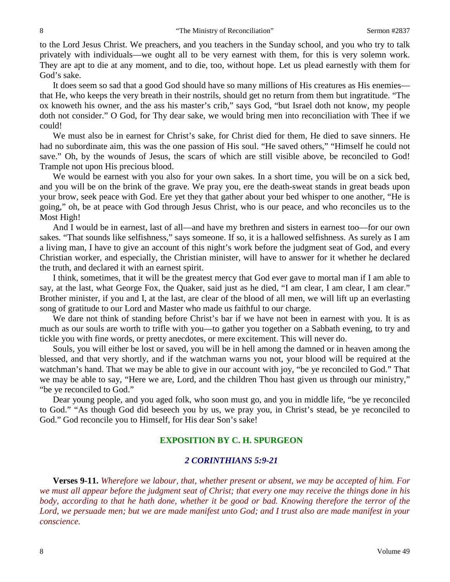to the Lord Jesus Christ. We preachers, and you teachers in the Sunday school, and you who try to talk privately with individuals—we ought all to be very earnest with them, for this is very solemn work. They are apt to die at any moment, and to die, too, without hope. Let us plead earnestly with them for God's sake.

It does seem so sad that a good God should have so many millions of His creatures as His enemies that He, who keeps the very breath in their nostrils, should get no return from them but ingratitude. "The ox knoweth his owner, and the ass his master's crib," says God, "but Israel doth not know, my people doth not consider." O God, for Thy dear sake, we would bring men into reconciliation with Thee if we could!

We must also be in earnest for Christ's sake, for Christ died for them, He died to save sinners. He had no subordinate aim, this was the one passion of His soul. "He saved others," "Himself he could not save." Oh, by the wounds of Jesus, the scars of which are still visible above, be reconciled to God! Trample not upon His precious blood.

We would be earnest with you also for your own sakes. In a short time, you will be on a sick bed, and you will be on the brink of the grave. We pray you, ere the death-sweat stands in great beads upon your brow, seek peace with God. Ere yet they that gather about your bed whisper to one another, "He is going," oh, be at peace with God through Jesus Christ, who is our peace, and who reconciles us to the Most High!

And I would be in earnest, last of all—and have my brethren and sisters in earnest too—for our own sakes. "That sounds like selfishness," says someone. If so, it is a hallowed selfishness. As surely as I am a living man, I have to give an account of this night's work before the judgment seat of God, and every Christian worker, and especially, the Christian minister, will have to answer for it whether he declared the truth, and declared it with an earnest spirit.

I think, sometimes, that it will be the greatest mercy that God ever gave to mortal man if I am able to say, at the last, what George Fox, the Quaker, said just as he died, "I am clear, I am clear, I am clear." Brother minister, if you and I, at the last, are clear of the blood of all men, we will lift up an everlasting song of gratitude to our Lord and Master who made us faithful to our charge.

We dare not think of standing before Christ's bar if we have not been in earnest with you. It is as much as our souls are worth to trifle with you—to gather you together on a Sabbath evening, to try and tickle you with fine words, or pretty anecdotes, or mere excitement. This will never do.

Souls, you will either be lost or saved, you will be in hell among the damned or in heaven among the blessed, and that very shortly, and if the watchman warns you not, your blood will be required at the watchman's hand. That we may be able to give in our account with joy, "be ye reconciled to God." That we may be able to say, "Here we are, Lord, and the children Thou hast given us through our ministry," "be ye reconciled to God."

Dear young people, and you aged folk, who soon must go, and you in middle life, "be ye reconciled to God." "As though God did beseech you by us, we pray you, in Christ's stead, be ye reconciled to God." God reconcile you to Himself, for His dear Son's sake!

## **EXPOSITION BY C. H. SPURGEON**

## *2 CORINTHIANS 5:9-21*

**Verses 9-11.** *Wherefore we labour, that, whether present or absent, we may be accepted of him. For we must all appear before the judgment seat of Christ; that every one may receive the things done in his body, according to that he hath done, whether it be good or bad. Knowing therefore the terror of the Lord, we persuade men; but we are made manifest unto God; and I trust also are made manifest in your conscience.*